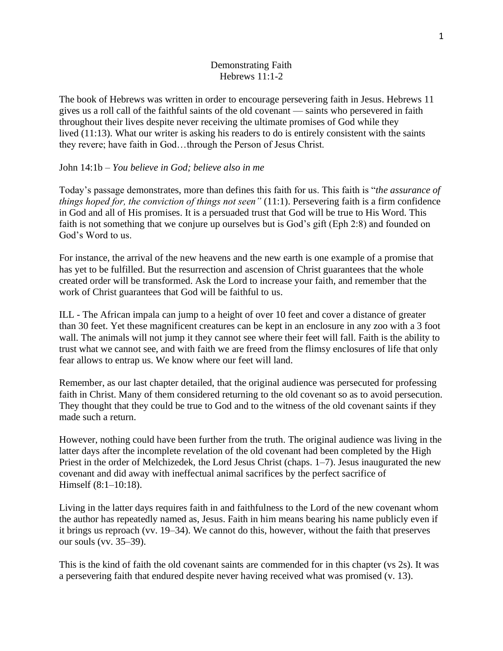### Demonstrating Faith Hebrews 11:1-2

The book of Hebrews was written in order to encourage persevering faith in Jesus. Hebrews 11 gives us a roll call of the faithful saints of the old covenant — saints who persevered in faith throughout their lives despite never receiving the ultimate promises of God while they lived (11:13). What our writer is asking his readers to do is entirely consistent with the saints they revere; have faith in God…through the Person of Jesus Christ.

#### John 14:1b – *You believe in God; believe also in me*

Today's passage demonstrates, more than defines this faith for us. This faith is "*the assurance of things hoped for, the conviction of things not seen"* (11:1). Persevering faith is a firm confidence in God and all of His promises. It is a persuaded trust that God will be true to His Word. This faith is not something that we conjure up ourselves but is God's gift (Eph 2:8) and founded on God's Word to us.

For instance, the arrival of the new heavens and the new earth is one example of a promise that has yet to be fulfilled. But the resurrection and ascension of Christ guarantees that the whole created order will be transformed. Ask the Lord to increase your faith, and remember that the work of Christ guarantees that God will be faithful to us.

ILL - The African impala can jump to a height of over 10 feet and cover a distance of greater than 30 feet. Yet these magnificent creatures can be kept in an enclosure in any zoo with a 3 foot wall. The animals will not jump it they cannot see where their feet will fall. Faith is the ability to trust what we cannot see, and with faith we are freed from the flimsy enclosures of life that only fear allows to entrap us. We know where our feet will land.

Remember, as our last chapter detailed, that the original audience was persecuted for professing faith in Christ. Many of them considered returning to the old covenant so as to avoid persecution. They thought that they could be true to God and to the witness of the old covenant saints if they made such a return.

However, nothing could have been further from the truth. The original audience was living in the latter days after the incomplete revelation of the old covenant had been completed by the High Priest in the order of Melchizedek, the Lord Jesus Christ (chaps. 1–7). Jesus inaugurated the new covenant and did away with ineffectual animal sacrifices by the perfect sacrifice of Himself (8:1–10:18).

Living in the latter days requires faith in and faithfulness to the Lord of the new covenant whom the author has repeatedly named as, Jesus. Faith in him means bearing his name publicly even if it brings us reproach (vv. 19–34). We cannot do this, however, without the faith that preserves our souls (vv. 35–39).

This is the kind of faith the old covenant saints are commended for in this chapter (vs 2s). It was a persevering faith that endured despite never having received what was promised (v. 13).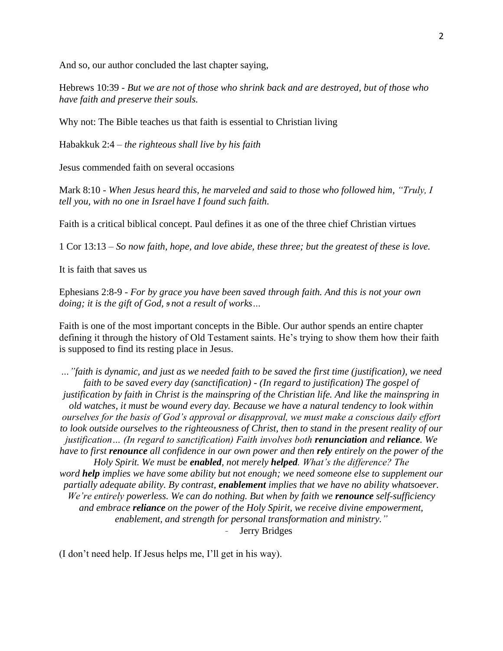And so, our author concluded the last chapter saying,

Hebrews 10:39 - *But we are not of those who shrink back and are destroyed, but of those who have faith and preserve their souls.*

Why not: The Bible teaches us that faith is essential to Christian living

Habakkuk 2:4 – *the righteous shall live by his faith*

Jesus commended faith on several occasions

Mark 8:10 - *When Jesus heard this, he marveled and said to those who followed him, "Truly, I tell you, with no one in Israel have I found such faith.*

Faith is a critical biblical concept. Paul defines it as one of the three chief Christian virtues

1 Cor 13:13 – *So now faith, hope, and love abide, these three; but the greatest of these is love.*

It is faith that saves us

Ephesians 2:8-9 - *For by grace you have been saved through faith. And this is not your own doing; it is the gift of God, <sup>9</sup> not a result of works…*

Faith is one of the most important concepts in the Bible. Our author spends an entire chapter defining it through the history of Old Testament saints. He's trying to show them how their faith is supposed to find its resting place in Jesus.

*…"faith is dynamic, and just as we needed faith to be saved the first time (justification), we need faith to be saved every day (sanctification) - (In regard to justification) The gospel of justification by faith in Christ is the mainspring of the Christian life. And like the mainspring in old watches, it must be wound every day. Because we have a natural tendency to look within ourselves for the basis of God's approval or disapproval, we must make a conscious daily effort to look outside ourselves to the righteousness of Christ, then to stand in the present reality of our justification… (In regard to sanctification) Faith involves both renunciation and reliance. We have to first renounce all confidence in our own power and then rely entirely on the power of the Holy Spirit. We must be enabled, not merely helped. What's the difference? The word help implies we have some ability but not enough; we need someone else to supplement our partially adequate ability. By contrast, enablement implies that we have no ability whatsoever. We're entirely powerless. We can do nothing. But when by faith we renounce self-sufficiency and embrace reliance on the power of the Holy Spirit, we receive divine empowerment, enablement, and strength for personal transformation and ministry."* Jerry Bridges

(I don't need help. If Jesus helps me, I'll get in his way).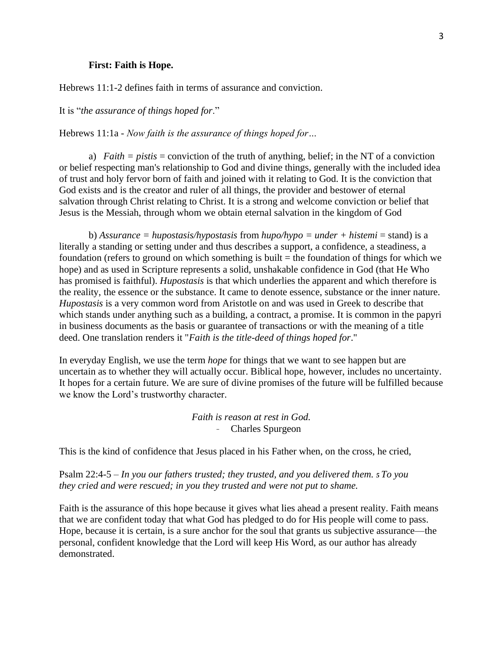#### **First: Faith is Hope.**

Hebrews 11:1-2 defines faith in terms of assurance and conviction.

It is "*the assurance of things hoped for*."

Hebrews 11:1a - *Now faith is the assurance of things hoped for…*

a) *Faith = pistis* = conviction of the truth of anything, belief; in the NT of a conviction or belief respecting man's relationship to God and divine things, generally with the included idea of trust and holy fervor born of faith and joined with it relating to God. It is the conviction that God exists and is the creator and ruler of all things, the provider and bestower of eternal salvation through Christ relating to Christ. It is a strong and welcome conviction or belief that Jesus is the Messiah, through whom we obtain eternal salvation in the kingdom of God

b) *Assurance = hupostasis/hypostasis* from *hupo/hypo = under + histemi* = stand) is a literally a standing or setting under and thus describes a support, a confidence, a steadiness, a foundation (refers to ground on which something is built  $=$  the foundation of things for which we hope) and as used in Scripture represents a solid, unshakable confidence in God (that He Who has promised is faithful). *Hupostasis* is that which underlies the apparent and which therefore is the reality, the essence or the substance. It came to denote essence, substance or the inner nature. *Hupostasis* is a very common word from Aristotle on and was used in Greek to describe that which stands under anything such as a building, a contract, a promise. It is common in the papyri in business documents as the basis or guarantee of transactions or with the meaning of a title deed. One translation renders it "*Faith is the title-deed of things hoped for*."

In everyday English, we use the term *hope* for things that we want to see happen but are uncertain as to whether they will actually occur. Biblical hope, however, includes no uncertainty. It hopes for a certain future. We are sure of divine promises of the future will be fulfilled because we know the Lord's trustworthy character.

> *Faith is reason at rest in God.* - Charles Spurgeon

This is the kind of confidence that Jesus placed in his Father when, on the cross, he cried,

Psalm 22:4-5 – *In you our fathers trusted; they trusted, and you delivered them. <sup>5</sup> To you they cried and were rescued; in you they trusted and were not put to shame.*

Faith is the assurance of this hope because it gives what lies ahead a present reality. Faith means that we are confident today that what God has pledged to do for His people will come to pass. Hope, because it is certain, is a sure anchor for the soul that grants us subjective assurance—the personal, confident knowledge that the Lord will keep His Word, as our author has already demonstrated.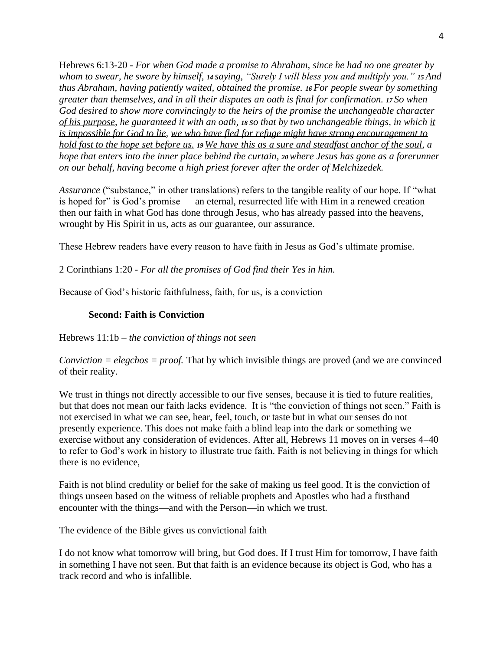Hebrews 6:13-20 - *For when God made a promise to Abraham, since he had no one greater by whom to swear, he swore by himself, <sup>14</sup> saying, "Surely I will bless you and multiply you." <sup>15</sup> And thus Abraham, having patiently waited, obtained the promise. <sup>16</sup> For people swear by something greater than themselves, and in all their disputes an oath is final for confirmation. <sup>17</sup> So when God desired to show more convincingly to the heirs of the promise the unchangeable character of his purpose, he guaranteed it with an oath, <sup>18</sup> so that by two unchangeable things, in which it is impossible for God to lie, we who have fled for refuge might have strong encouragement to hold fast to the hope set before us. <sup>19</sup> We have this as a sure and steadfast anchor of the soul, a hope that enters into the inner place behind the curtain, <sup>20</sup>where Jesus has gone as a forerunner on our behalf, having become a high priest forever after the order of Melchizedek.*

*Assurance* ("substance," in other translations) refers to the tangible reality of our hope. If "what is hoped for" is God's promise — an eternal, resurrected life with Him in a renewed creation then our faith in what God has done through Jesus, who has already passed into the heavens, wrought by His Spirit in us, acts as our guarantee, our assurance.

These Hebrew readers have every reason to have faith in Jesus as God's ultimate promise.

2 Corinthians 1:20 - *For all the promises of God find their Yes in him.*

Because of God's historic faithfulness, faith, for us, is a conviction

#### **Second: Faith is Conviction**

Hebrews 11:1b – *the conviction of things not seen*

*Conviction = elegchos = proof.* That by which invisible things are proved (and we are convinced of their reality.

We trust in things not directly accessible to our five senses, because it is tied to future realities, but that does not mean our faith lacks evidence. It is "the conviction of things not seen." Faith is not exercised in what we can see, hear, feel, touch, or taste but in what our senses do not presently experience. This does not make faith a blind leap into the dark or something we exercise without any consideration of evidences. After all, Hebrews 11 moves on in verses 4–40 to refer to God's work in history to illustrate true faith. Faith is not believing in things for which there is no evidence,

Faith is not blind credulity or belief for the sake of making us feel good. It is the conviction of things unseen based on the witness of reliable prophets and Apostles who had a firsthand encounter with the things—and with the Person—in which we trust.

The evidence of the Bible gives us convictional faith

I do not know what tomorrow will bring, but God does. If I trust Him for tomorrow, I have faith in something I have not seen. But that faith is an evidence because its object is God, who has a track record and who is infallible.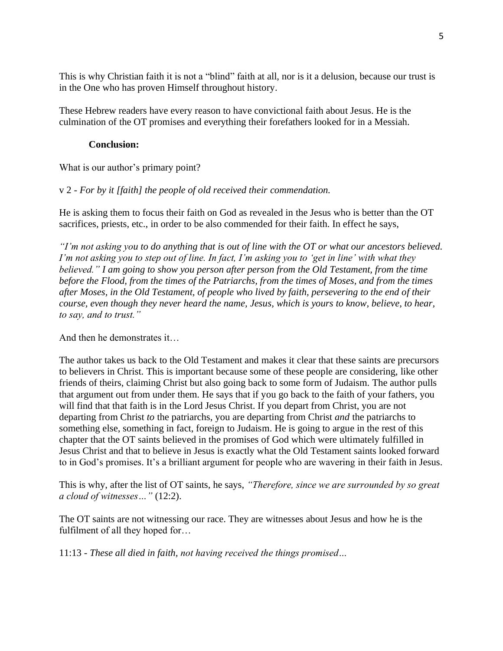This is why Christian faith it is not a "blind" faith at all, nor is it a delusion, because our trust is in the One who has proven Himself throughout history.

These Hebrew readers have every reason to have convictional faith about Jesus. He is the culmination of the OT promises and everything their forefathers looked for in a Messiah.

## **Conclusion:**

What is our author's primary point?

# v 2 - *For by it [faith] the people of old received their commendation.*

He is asking them to focus their faith on God as revealed in the Jesus who is better than the OT sacrifices, priests, etc., in order to be also commended for their faith. In effect he says,

*"I'm not asking you to do anything that is out of line with the OT or what our ancestors believed. I'm not asking you to step out of line. In fact, I'm asking you to 'get in line' with what they believed." I am going to show you person after person from the Old Testament, from the time before the Flood, from the times of the Patriarchs, from the times of Moses, and from the times after Moses, in the Old Testament, of people who lived by faith, persevering to the end of their course, even though they never heard the name, Jesus, which is yours to know, believe, to hear, to say, and to trust."*

And then he demonstrates it

The author takes us back to the Old Testament and makes it clear that these saints are precursors to believers in Christ. This is important because some of these people are considering, like other friends of theirs, claiming Christ but also going back to some form of Judaism. The author pulls that argument out from under them. He says that if you go back to the faith of your fathers, you will find that that faith is in the Lord Jesus Christ. If you depart from Christ, you are not departing from Christ *to* the patriarchs, you are departing from Christ *and* the patriarchs to something else, something in fact, foreign to Judaism. He is going to argue in the rest of this chapter that the OT saints believed in the promises of God which were ultimately fulfilled in Jesus Christ and that to believe in Jesus is exactly what the Old Testament saints looked forward to in God's promises. It's a brilliant argument for people who are wavering in their faith in Jesus.

This is why, after the list of OT saints, he says, *"Therefore, since we are surrounded by so great a cloud of witnesses…"* (12:2).

The OT saints are not witnessing our race. They are witnesses about Jesus and how he is the fulfilment of all they hoped for…

11:13 - *These all died in faith, not having received the things promised…*